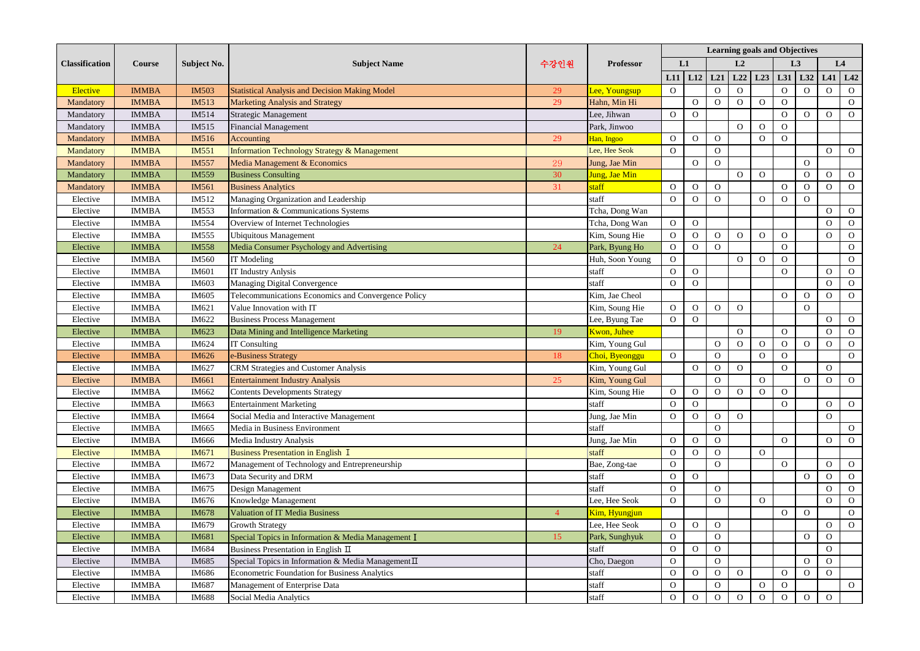|                       | Course       | Subject No.  | <b>Subject Name</b>                                     |                |                  | <b>Learning goals and Objectives</b> |              |                |                |                |                      |                |                |                |  |
|-----------------------|--------------|--------------|---------------------------------------------------------|----------------|------------------|--------------------------------------|--------------|----------------|----------------|----------------|----------------------|----------------|----------------|----------------|--|
| <b>Classification</b> |              |              |                                                         | 수강인원           | <b>Professor</b> |                                      | L1           | L2             |                |                | L <sub>3</sub>       |                | L4             |                |  |
|                       |              |              |                                                         |                |                  | L11                                  | L12          | L21            | L22            | L23            | L31                  | L32            | L41            | L42            |  |
| <b>Elective</b>       | <b>IMMBA</b> | <b>IM503</b> | <b>Statistical Analysis and Decision Making Model</b>   | 29             | Lee, Youngsup    | $\mathbf{O}$                         |              | $\Omega$       | $\overline{O}$ |                | $\Omega$             | $\Omega$       | $\Omega$       | $\mathbf{O}$   |  |
| Mandatory             | <b>IMMBA</b> | IM513        | Marketing Analysis and Strategy                         | 29             | Hahn, Min Hi     |                                      | $\mathbf{O}$ | $\Omega$       | $\mathbf{O}$   | $\Omega$       | $\overline{O}$       |                |                | $\mathbf{O}$   |  |
| Mandatory             | <b>IMMBA</b> | IM514        | Strategic Management                                    |                | Lee, Jihwan      | $\mathbf{O}$                         | $\mathbf{O}$ |                |                |                | $\Omega$             | $\Omega$       | $\Omega$       | $\mathbf{O}$   |  |
| Mandatory             | <b>IMMBA</b> | IM515        | <b>Financial Management</b>                             |                | Park, Jinwoo     |                                      |              |                | $\overline{O}$ | $\mathbf{O}$   | $\mathbf{O}$         |                |                |                |  |
| Mandatory             | <b>IMMBA</b> | IM516        | Accounting                                              | 29             | Han, Ingoo       | $\Omega$                             | $\Omega$     | $\Omega$       |                | $\Omega$       | $\Omega$             |                |                |                |  |
| Mandatory             | <b>IMMBA</b> | IM551        | <b>Information Technology Strategy &amp; Management</b> |                | Lee, Hee Seok    | $\Omega$                             |              | $\Omega$       |                |                |                      |                | $\overline{O}$ | $\mathbf{O}$   |  |
| Mandatory             | <b>IMMBA</b> | <b>IM557</b> | Media Management & Economics                            | 29             | Jung, Jae Min    |                                      | $\Omega$     | $\Omega$       |                |                |                      | $\Omega$       |                |                |  |
| Mandatory             | <b>IMMBA</b> | IM559        | <b>Business Consulting</b>                              | 30             | Jung, Jae Min    |                                      |              |                | $\overline{O}$ | $\overline{O}$ |                      | $\Omega$       | $\overline{O}$ | $\mathbf{O}$   |  |
| Mandatory             | <b>IMMBA</b> | IM561        | <b>Business Analytics</b>                               | 31             | staff            | $\mathbf{O}$                         | $\Omega$     | $\mathbf{O}$   |                |                | $\Omega$             | $\Omega$       | $\mathbf{O}$   | $\mathbf{O}$   |  |
| Elective              | <b>IMMBA</b> | IM512        | Managing Organization and Leadership                    |                | staff            | $\Omega$                             | $\Omega$     | $\overline{O}$ |                | $\overline{O}$ | $\Omega$             | $\Omega$       |                |                |  |
| Elective              | <b>IMMBA</b> | IM553        | Information & Communications Systems                    |                | Tcha, Dong Wan   |                                      |              |                |                |                |                      |                | $\Omega$       | $\mathbf{O}$   |  |
| Elective              | <b>IMMBA</b> | IM554        | Overview of Internet Technologies                       |                | Tcha, Dong Wan   | $\mathbf{O}$                         | $\mathbf{O}$ |                |                |                |                      |                | $\Omega$       | $\mathbf{O}$   |  |
| Elective              | <b>IMMBA</b> | IM555        | <b>Ubiquitous Management</b>                            |                | Kim, Soung Hie   | $\Omega$                             | $\Omega$     | $\Omega$       | $\mathbf{O}$   | $\Omega$       | $\Omega$             |                | $\Omega$       | $\mathbf{O}$   |  |
| Elective              | <b>IMMBA</b> | IM558        | Media Consumer Psychology and Advertising               | 24             | Park, Byung Ho   | $\mathbf{O}$                         | $\Omega$     | $\Omega$       |                |                | $\Omega$             |                |                | $\mathbf{O}$   |  |
| Elective              | <b>IMMBA</b> | IM560        | <b>IT</b> Modeling                                      |                | Huh, Soon Young  | $\mathbf{O}$                         |              |                | $\mathbf{O}$   | $\mathbf{O}$   | $\Omega$             |                |                | $\mathbf{O}$   |  |
| Elective              | <b>IMMBA</b> | IM601        | <b>IT Industry Anlysis</b>                              |                | staff            | $\Omega$                             | $\Omega$     |                |                |                | $\Omega$             |                | $\Omega$       | $\mathbf{O}$   |  |
| Elective              | <b>IMMBA</b> | IM603        | Managing Digital Convergence                            |                | staff            | $\mathbf{O}$                         | $\Omega$     |                |                |                |                      |                | $\overline{O}$ | $\mathbf{O}$   |  |
| Elective              | <b>IMMBA</b> | IM605        | Telecommunications Economics and Convergence Policy     |                | Kim. Jae Cheol   |                                      |              |                |                |                | $\Omega$             | $\Omega$       | $\Omega$       | $\overline{O}$ |  |
| Elective              | <b>IMMBA</b> | IM621        | Value Innovation with IT                                |                | Kim, Soung Hie   | $\overline{O}$                       | $\Omega$     | $\Omega$       | $\mathbf{O}$   |                |                      | $\Omega$       |                |                |  |
| Elective              | <b>IMMBA</b> | IM622        | <b>Business Process Management</b>                      |                | Lee, Byung Tae   | $\mathbf{O}$                         | $\Omega$     |                |                |                |                      |                | $\Omega$       | $\mathbf{O}$   |  |
|                       | <b>IMMBA</b> | IM623        | Data Mining and Intelligence Marketing                  | 19             | Kwon, Juhee      |                                      |              |                | $\overline{O}$ |                | $\Omega$             |                | $\Omega$       | $\mathbf{O}$   |  |
| Elective<br>Elective  | <b>IMMBA</b> | IM624        | <b>IT Consulting</b>                                    |                | Kim, Young Gul   |                                      |              | $\Omega$       | $\mathbf{O}$   | $\mathbf{O}$   | $\Omega$             | $\mathbf{O}$   | $\overline{O}$ | $\mathbf{O}$   |  |
|                       |              |              |                                                         |                |                  |                                      |              | $\Omega$       |                | $\overline{O}$ |                      |                |                |                |  |
| Elective              | <b>IMMBA</b> | IM626        | -Business Strategy                                      | 18             | Choi, Byeonggu   | $\mathbf{O}$                         | $\Omega$     |                |                |                | $\Omega$<br>$\Omega$ |                |                | $\mathbf{O}$   |  |
| Elective              | <b>IMMBA</b> | IM627        | <b>CRM Strategies and Customer Analysis</b>             |                | Kim, Young Gul   |                                      |              | $\mathbf{O}$   | $\mathbf{O}$   |                |                      |                | $\Omega$       |                |  |
| Elective              | <b>IMMBA</b> | IM661        | <b>Entertainment Industry Analysis</b>                  | 25             | Kim, Young Gul   |                                      |              | $\Omega$       |                | $\mathbf{O}$   |                      | $\mathbf{O}$   | $\Omega$       | $\mathbf{O}$   |  |
| Elective              | <b>IMMBA</b> | IM662        | <b>Contents Developments Strategy</b>                   |                | Kim, Soung Hie   | $\mathbf{O}$                         | $\mathbf{O}$ | $\mathbf{O}$   | $\mathbf{O}$   | $\mathbf{O}$   | $\mathbf{O}$         |                |                |                |  |
| Elective              | <b>IMMBA</b> | IM663        | <b>Entertainment Marketing</b>                          |                | staff            | $\Omega$                             | $\Omega$     |                |                |                | $\Omega$             |                | $\overline{O}$ | $\mathbf{O}$   |  |
| Elective              | <b>IMMBA</b> | IM664        | Social Media and Interactive Management                 |                | Jung, Jae Min    | $\mathbf{O}$                         | $\mathbf{O}$ | $\mathbf{O}$   | $\mathbf{O}$   |                |                      |                | $\Omega$       |                |  |
| Elective              | <b>IMMBA</b> | IM665        | Media in Business Environment                           |                | staff            |                                      |              | $\Omega$       |                |                |                      |                |                | $\overline{O}$ |  |
| Elective              | <b>IMMBA</b> | IM666        | Media Industry Analysis                                 |                | Jung, Jae Min    | $\mathbf{O}$                         | $\mathbf{O}$ | $\overline{O}$ |                |                | $\overline{O}$       |                | $\overline{O}$ | $\mathbf{O}$   |  |
| Elective              | <b>IMMBA</b> | IM671        | <b>Business Presentation in English I</b>               |                | staff            | $\mathbf{O}$                         | $\mathbf{O}$ | $\Omega$       |                | $\Omega$       |                      |                |                |                |  |
| Elective              | <b>IMMBA</b> | IM672        | Management of Technology and Entrepreneurship           |                | Bae, Zong-tae    | $\Omega$                             |              | $\Omega$       |                |                | $\overline{O}$       |                | $\Omega$       | $\mathbf{O}$   |  |
| Elective              | <b>IMMBA</b> | IM673        | Data Security and DRM                                   |                | staff            | $\Omega$                             | $\Omega$     |                |                |                |                      | $\Omega$       | $\Omega$       | $\mathbf{O}$   |  |
| Elective              | <b>IMMBA</b> | IM675        | Design Management                                       |                | staff            | $\mathbf{O}$                         |              | $\mathbf{O}$   |                |                |                      |                | $\Omega$       | $\mathbf{O}$   |  |
| Elective              | <b>IMMBA</b> | IM676        | Knowledge Management                                    |                | Lee, Hee Seok    | $\Omega$                             |              | $\Omega$       |                | $\Omega$       |                      |                | $\Omega$       | $\mathbf{O}$   |  |
| Elective              | <b>IMMBA</b> | IM678        | <b>Valuation of IT Media Business</b>                   | $\overline{4}$ | Kim, Hyungjun    |                                      |              |                |                |                | $\Omega$             | $\overline{O}$ |                | $\mathbf{O}$   |  |
| Elective              | <b>IMMBA</b> | IM679        | <b>Growth Strategy</b>                                  |                | Lee, Hee Seok    | $\mathbf{O}$                         | $\mathbf{O}$ | $\mathbf{O}$   |                |                |                      |                | $\Omega$       | $\mathbf{O}$   |  |
| Elective              | <b>IMMBA</b> | IM681        | Special Topics in Information & Media Management I      | 15             | Park, Sunghyuk   | $\Omega$                             |              | $\Omega$       |                |                |                      | $\Omega$       | $\Omega$       |                |  |
| Elective              | <b>IMMBA</b> | IM684        | Business Presentation in English II                     |                | staff            | $\mathbf{O}$                         | $\mathbf{O}$ | $\mathbf{O}$   |                |                |                      |                | $\Omega$       |                |  |
| Elective              | <b>IMMBA</b> | IM685        | Special Topics in Information & Media Management $\Pi$  |                | Cho, Daegon      | $\Omega$                             |              | $\Omega$       |                |                |                      | $\Omega$       | $\overline{O}$ |                |  |
| Elective              | <b>IMMBA</b> | IM686        | <b>Econometric Foundation for Business Analytics</b>    |                | staff            | $\overline{O}$                       | $\mathbf{O}$ | $\overline{O}$ | $\mathbf{O}$   |                | $\Omega$             | $\Omega$       | $\Omega$       |                |  |
| Elective              | <b>IMMBA</b> | IM687        | Management of Enterprise Data                           |                | staff            | $\overline{O}$                       |              | $\Omega$       |                | $\mathbf{O}$   | $\mathbf{O}$         |                |                | $\Omega$       |  |
| Elective              | <b>IMMBA</b> | IM688        | Social Media Analytics                                  |                | staff            | $\Omega$                             | $\Omega$     | $\Omega$       | $\Omega$       | $\Omega$       | $\Omega$             | $\Omega$       | $\overline{O}$ |                |  |